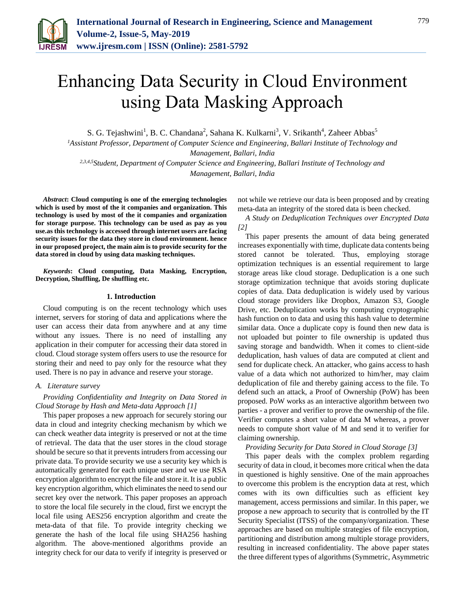

# Enhancing Data Security in Cloud Environment using Data Masking Approach

S. G. Tejashwini<sup>1</sup>, B. C. Chandana<sup>2</sup>, Sahana K. Kulkarni<sup>3</sup>, V. Srikanth<sup>4</sup>, Zaheer Abbas<sup>5</sup>

*<sup>1</sup>Assistant Professor, Department of Computer Science and Engineering, Ballari Institute of Technology and Management, Ballari, India*

*2,3,4,5Student, Department of Computer Science and Engineering, Ballari Institute of Technology and Management, Ballari, India*

*Abstract***: Cloud computing is one of the emerging technologies which is used by most of the it companies and organization. This technology is used by most of the it companies and organization for storage purpose. This technology can be used as pay as you use.as this technology is accessed through internet users are facing security issues for the data they store in cloud environment. hence in our proposed project, the main aim is to provide security for the data stored in cloud by using data masking techniques.**

*Keywords***: Cloud computing, Data Masking, Encryption, Decryption, Shuffling, De shuffling etc.**

# **1. Introduction**

Cloud computing is on the recent technology which uses internet, servers for storing of data and applications where the user can access their data from anywhere and at any time without any issues. There is no need of installing any application in their computer for accessing their data stored in cloud. Cloud storage system offers users to use the resource for storing their and need to pay only for the resource what they used. There is no pay in advance and reserve your storage.

# *A. Literature survey*

# *Providing Confidentiality and Integrity on Data Stored in Cloud Storage by Hash and Meta-data Approach [1]*

This paper proposes a new approach for securely storing our data in cloud and integrity checking mechanism by which we can check weather data integrity is preserved or not at the time of retrieval. The data that the user stores in the cloud storage should be secure so that it prevents intruders from accessing our private data. To provide security we use a security key which is automatically generated for each unique user and we use RSA encryption algorithm to encrypt the file and store it. It is a public key encryption algorithm, which eliminates the need to send our secret key over the network. This paper proposes an approach to store the local file securely in the cloud, first we encrypt the local file using AES256 encryption algorithm and create the meta-data of that file. To provide integrity checking we generate the hash of the local file using SHA256 hashing algorithm. The above-mentioned algorithms provide an integrity check for our data to verify if integrity is preserved or

not while we retrieve our data is been proposed and by creating meta-data an integrity of the stored data is been checked.

*A Study on Deduplication Techniques over Encrypted Data [2]*

This paper presents the amount of data being generated increases exponentially with time, duplicate data contents being stored cannot be tolerated. Thus, employing storage optimization techniques is an essential requirement to large storage areas like cloud storage. Deduplication is a one such storage optimization technique that avoids storing duplicate copies of data. Data deduplication is widely used by various cloud storage providers like Dropbox, Amazon S3, Google Drive, etc. Deduplication works by computing cryptographic hash function on to data and using this hash value to determine similar data. Once a duplicate copy is found then new data is not uploaded but pointer to file ownership is updated thus saving storage and bandwidth. When it comes to client-side deduplication, hash values of data are computed at client and send for duplicate check. An attacker, who gains access to hash value of a data which not authorized to him/her, may claim deduplication of file and thereby gaining access to the file. To defend such an attack, a Proof of Ownership (PoW) has been proposed. PoW works as an interactive algorithm between two parties - a prover and verifier to prove the ownership of the file. Verifier computes a short value of data M whereas, a prover needs to compute short value of M and send it to verifier for claiming ownership.

*Providing Security for Data Stored in Cloud Storage [3]*

This paper deals with the complex problem regarding security of data in cloud, it becomes more critical when the data in questioned is highly sensitive. One of the main approaches to overcome this problem is the encryption data at rest, which comes with its own difficulties such as efficient key management, access permissions and similar. In this paper, we propose a new approach to security that is controlled by the IT Security Specialist (ITSS) of the company/organization. These approaches are based on multiple strategies of file encryption, partitioning and distribution among multiple storage providers, resulting in increased confidentiality. The above paper states the three different types of algorithms (Symmetric, Asymmetric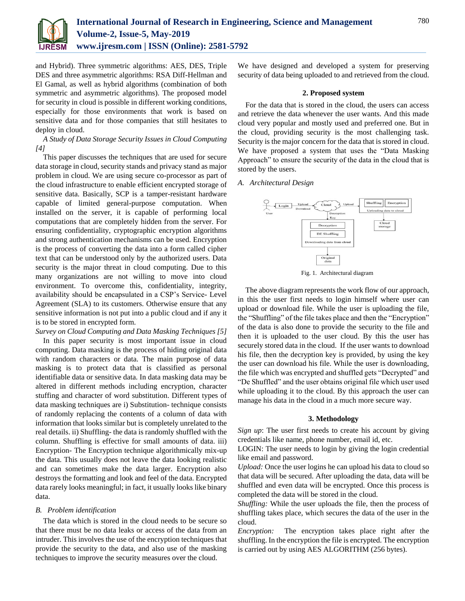

and Hybrid). Three symmetric algorithms: AES, DES, Triple DES and three asymmetric algorithms: RSA Diff-Hellman and El Gamal, as well as hybrid algorithms (combination of both symmetric and asymmetric algorithms). The proposed model for security in cloud is possible in different working conditions, especially for those environments that work is based on sensitive data and for those companies that still hesitates to deploy in cloud.

*A Study of Data Storage Security Issues in Cloud Computing [4]*

This paper discusses the techniques that are used for secure data storage in cloud, security stands and privacy stand as major problem in cloud. We are using secure co-processor as part of the cloud infrastructure to enable efficient encrypted storage of sensitive data. Basically, SCP is a tamper-resistant hardware capable of limited general-purpose computation. When installed on the server, it is capable of performing local computations that are completely hidden from the server. For ensuring confidentiality, cryptographic encryption algorithms and strong authentication mechanisms can be used. Encryption is the process of converting the data into a form called cipher text that can be understood only by the authorized users. Data security is the major threat in cloud computing. Due to this many organizations are not willing to move into cloud environment. To overcome this, confidentiality, integrity, availability should be encapsulated in a CSP's Service- Level Agreement (SLA) to its customers. Otherwise ensure that any sensitive information is not put into a public cloud and if any it is to be stored in encrypted form.

# *Survey on Cloud Computing and Data Masking Techniques [5]*

In this paper security is most important issue in cloud computing. Data masking is the process of hiding original data with random characters or data. The main purpose of data masking is to protect data that is classified as personal identifiable data or sensitive data. In data masking data may be altered in different methods including encryption, character stuffing and character of word substitution. Different types of data masking techniques are i) Substitution- technique consists of randomly replacing the contents of a column of data with information that looks similar but is completely unrelated to the real details. ii) Shuffling- the data is randomly shuffled with the column. Shuffling is effective for small amounts of data. iii) Encryption- The Encryption technique algorithmically mix-up the data. This usually does not leave the data looking realistic and can sometimes make the data larger. Encryption also destroys the formatting and look and feel of the data. Encrypted data rarely looks meaningful; in fact, it usually looks like binary data.

# *B. Problem identification*

The data which is stored in the cloud needs to be secure so that there must be no data leaks or access of the data from an intruder. This involves the use of the encryption techniques that provide the security to the data, and also use of the masking techniques to improve the security measures over the cloud.

We have designed and developed a system for preserving security of data being uploaded to and retrieved from the cloud.

#### **2. Proposed system**

For the data that is stored in the cloud, the users can access and retrieve the data whenever the user wants. And this made cloud very popular and mostly used and preferred one. But in the cloud, providing security is the most challenging task. Security is the major concern for the data that is stored in cloud. We have proposed a system that uses the "Data Masking Approach" to ensure the security of the data in the cloud that is stored by the users.

# *A. Architectural Design*



Fig. 1. Architectural diagram

The above diagram represents the work flow of our approach, in this the user first needs to login himself where user can upload or download file. While the user is uploading the file, the "Shuffling" of the file takes place and then the "Encryption" of the data is also done to provide the security to the file and then it is uploaded to the user cloud. By this the user has securely stored data in the cloud. If the user wants to download his file, then the decryption key is provided, by using the key the user can download his file. While the user is downloading, the file which was encrypted and shuffled gets "Decrypted" and "De Shuffled" and the user obtains original file which user used while uploading it to the cloud. By this approach the user can manage his data in the cloud in a much more secure way.

#### **3. Methodology**

*Sign up*: The user first needs to create his account by giving credentials like name, phone number, email id, etc.

LOGIN: The user needs to login by giving the login credential like email and password.

*Upload:* Once the user logins he can upload his data to cloud so that data will be secured. After uploading the data, data will be shuffled and even data will be encrypted. Once this process is completed the data will be stored in the cloud.

*Shuffling:* While the user uploads the file, then the process of shuffling takes place, which secures the data of the user in the cloud.

*Encryption:* The encryption takes place right after the shuffling. In the encryption the file is encrypted. The encryption is carried out by using AES ALGORITHM (256 bytes).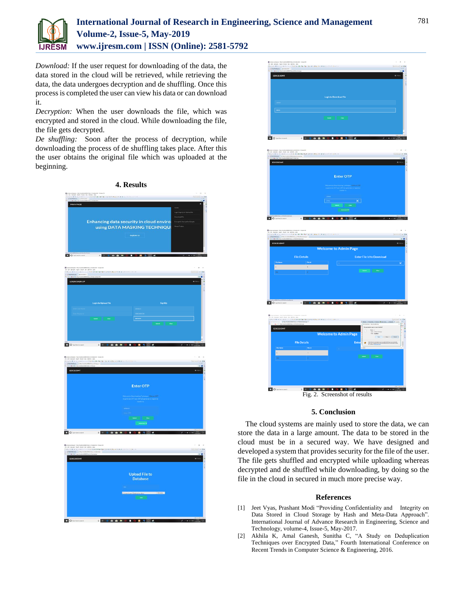

# **International Journal of Research in Engineering, Science and Management Volume-2, Issue-5, May-2019 www.ijresm.com | ISSN (Online): 2581-5792**

*Download:* If the user request for downloading of the data, the data stored in the cloud will be retrieved, while retrieving the data, the data undergoes decryption and de shuffling. Once this process is completed the user can view his data or can download it.

*Decryption:* When the user downloads the file, which was encrypted and stored in the cloud. While downloading the file, the file gets decrypted.

*De shuffling:* Soon after the process of decryption, while downloading the process of de shuffling takes place. After this the user obtains the original file which was uploaded at the beginning.





# **5. Conclusion**

The cloud systems are mainly used to store the data, we can store the data in a large amount. The data to be stored in the cloud must be in a secured way. We have designed and developed a system that provides security for the file of the user. The file gets shuffled and encrypted while uploading whereas decrypted and de shuffled while downloading, by doing so the file in the cloud in secured in much more precise way.

# **References**

- [1] Jeet Vyas, Prashant Modi "Providing Confidentiality and Integrity on Data Stored in Cloud Storage by Hash and Meta-Data Approach". International Journal of Advance Research in Engineering, Science and Technology, volume-4, Issue-5, May-2017.
- [2] Akhila K, Amal Ganesh, Sunitha C, "A Study on Deduplication Techniques over Encrypted Data," Fourth International Conference on Recent Trends in Computer Science & Engineering, 2016.